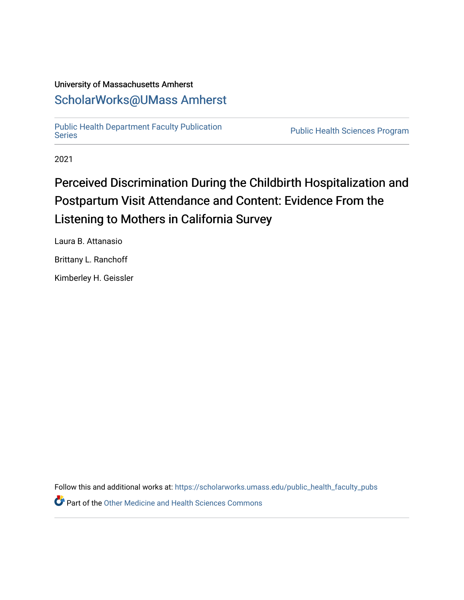# University of Massachusetts Amherst [ScholarWorks@UMass Amherst](https://scholarworks.umass.edu/)

[Public Health Department Faculty Publication](https://scholarworks.umass.edu/public_health_faculty_pubs) 

Public Health Sciences Program

2021

# Perceived Discrimination During the Childbirth Hospitalization and Postpartum Visit Attendance and Content: Evidence From the Listening to Mothers in California Survey

Laura B. Attanasio

Brittany L. Ranchoff

Kimberley H. Geissler

Follow this and additional works at: [https://scholarworks.umass.edu/public\\_health\\_faculty\\_pubs](https://scholarworks.umass.edu/public_health_faculty_pubs?utm_source=scholarworks.umass.edu%2Fpublic_health_faculty_pubs%2F53&utm_medium=PDF&utm_campaign=PDFCoverPages) 

**P** Part of the [Other Medicine and Health Sciences Commons](https://network.bepress.com/hgg/discipline/772?utm_source=scholarworks.umass.edu%2Fpublic_health_faculty_pubs%2F53&utm_medium=PDF&utm_campaign=PDFCoverPages)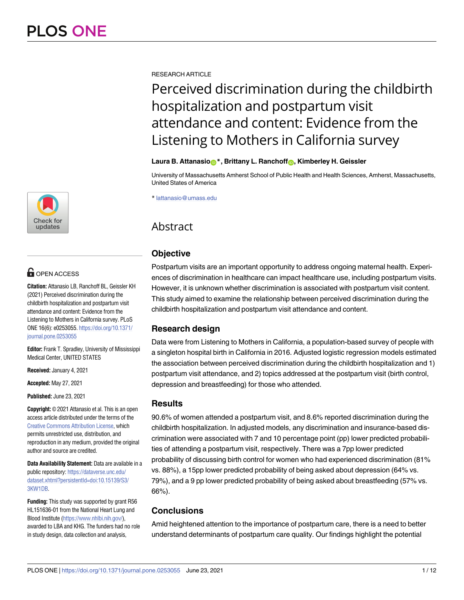

# $\blacksquare$  OPEN ACCESS

**Citation:** Attanasio LB, Ranchoff BL, Geissler KH (2021) Perceived discrimination during the childbirth hospitalization and postpartum visit attendance and content: Evidence from the Listening to Mothers in California survey. PLoS ONE 16(6): e0253055. [https://doi.org/10.1371/](https://doi.org/10.1371/journal.pone.0253055) [journal.pone.0253055](https://doi.org/10.1371/journal.pone.0253055)

**Editor:** Frank T. Spradley, University of Mississippi Medical Center, UNITED STATES

**Received:** January 4, 2021

**Accepted:** May 27, 2021

**Published:** June 23, 2021

**Copyright:** © 2021 Attanasio et al. This is an open access article distributed under the terms of the Creative Commons [Attribution](http://creativecommons.org/licenses/by/4.0/) License, which permits unrestricted use, distribution, and reproduction in any medium, provided the original author and source are credited.

**Data Availability Statement:** Data are available in a public repository: [https://dataverse.unc.edu/](https://dataverse.unc.edu/dataset.xhtml?persistentId=doi:10.15139/S3/3KW1DB) [dataset.xhtml?persistentId=doi:10.15139/S3/](https://dataverse.unc.edu/dataset.xhtml?persistentId=doi:10.15139/S3/3KW1DB) [3KW1DB](https://dataverse.unc.edu/dataset.xhtml?persistentId=doi:10.15139/S3/3KW1DB).

**Funding:** This study was supported by grant R56 HL151636-01 from the National Heart Lung and Blood Institute [\(https://www.nhlbi.nih.gov/](https://www.nhlbi.nih.gov/)), awarded to LBA and KHG. The funders had no role in study design, data collection and analysis,

RESEARCH ARTICLE

# Perceived discrimination during the childbirth hospitalization and postpartum visit attendance and content: Evidence from the Listening to Mothers in California survey

#### **Laura B. Attanasio**<sup>\*</sup>, Brittany L. Ranchoff<sub><sup>1</sup></sub>, Kimberley H. Geissler

University of Massachusetts Amherst School of Public Health and Health Sciences, Amherst, Massachusetts, United States of America

\* lattanasio@umass.edu

# Abstract

## **Objective**

Postpartum visits are an important opportunity to address ongoing maternal health. Experiences of discrimination in healthcare can impact healthcare use, including postpartum visits. However, it is unknown whether discrimination is associated with postpartum visit content. This study aimed to examine the relationship between perceived discrimination during the childbirth hospitalization and postpartum visit attendance and content.

## **Research design**

Data were from Listening to Mothers in California, a population-based survey of people with a singleton hospital birth in California in 2016. Adjusted logistic regression models estimated the association between perceived discrimination during the childbirth hospitalization and 1) postpartum visit attendance, and 2) topics addressed at the postpartum visit (birth control, depression and breastfeeding) for those who attended.

### **Results**

90.6% of women attended a postpartum visit, and 8.6% reported discrimination during the childbirth hospitalization. In adjusted models, any discrimination and insurance-based discrimination were associated with 7 and 10 percentage point (pp) lower predicted probabilities of attending a postpartum visit, respectively. There was a 7pp lower predicted probability of discussing birth control for women who had experienced discrimination (81% vs. 88%), a 15pp lower predicted probability of being asked about depression (64% vs. 79%), and a 9 pp lower predicted probability of being asked about breastfeeding (57% vs. 66%).

## **Conclusions**

Amid heightened attention to the importance of postpartum care, there is a need to better understand determinants of postpartum care quality. Our findings highlight the potential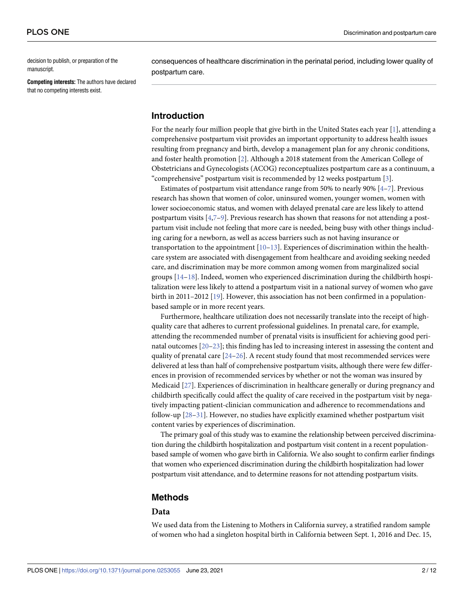<span id="page-2-0"></span>decision to publish, or preparation of the manuscript.

**Competing interests:** The authors have declared that no competing interests exist.

consequences of healthcare discrimination in the perinatal period, including lower quality of postpartum care.

#### **Introduction**

For the nearly four million people that give birth in the United States each year [[1\]](#page-10-0), attending a comprehensive postpartum visit provides an important opportunity to address health issues resulting from pregnancy and birth, develop a management plan for any chronic conditions, and foster health promotion [[2\]](#page-10-0). Although a 2018 statement from the American College of Obstetricians and Gynecologists (ACOG) reconceptualizes postpartum care as a continuum, a "comprehensive" postpartum visit is recommended by 12 weeks postpartum [[3](#page-10-0)].

Estimates of postpartum visit attendance range from 50% to nearly 90% [[4](#page-10-0)–[7](#page-10-0)]. Previous research has shown that women of color, uninsured women, younger women, women with lower socioeconomic status, and women with delayed prenatal care are less likely to attend postpartum visits [\[4,7–9](#page-10-0)]. Previous research has shown that reasons for not attending a postpartum visit include not feeling that more care is needed, being busy with other things including caring for a newborn, as well as access barriers such as not having insurance or transportation to the appointment [\[10–13](#page-10-0)]. Experiences of discrimination within the healthcare system are associated with disengagement from healthcare and avoiding seeking needed care, and discrimination may be more common among women from marginalized social groups [\[14–](#page-10-0)[18](#page-11-0)]. Indeed, women who experienced discrimination during the childbirth hospitalization were less likely to attend a postpartum visit in a national survey of women who gave birth in 2011–2012  $[19]$ . However, this association has not been confirmed in a populationbased sample or in more recent years.

Furthermore, healthcare utilization does not necessarily translate into the receipt of highquality care that adheres to current professional guidelines. In prenatal care, for example, attending the recommended number of prenatal visits is insufficient for achieving good perinatal outcomes [\[20–23](#page-11-0)]; this finding has led to increasing interest in assessing the content and quality of prenatal care  $[24–26]$  $[24–26]$ . A recent study found that most recommended services were delivered at less than half of comprehensive postpartum visits, although there were few differences in provision of recommended services by whether or not the woman was insured by Medicaid [\[27\]](#page-11-0). Experiences of discrimination in healthcare generally or during pregnancy and childbirth specifically could affect the quality of care received in the postpartum visit by negatively impacting patient-clinician communication and adherence to recommendations and follow-up [\[28–31\]](#page-11-0). However, no studies have explicitly examined whether postpartum visit content varies by experiences of discrimination.

The primary goal of this study was to examine the relationship between perceived discrimination during the childbirth hospitalization and postpartum visit content in a recent populationbased sample of women who gave birth in California. We also sought to confirm earlier findings that women who experienced discrimination during the childbirth hospitalization had lower postpartum visit attendance, and to determine reasons for not attending postpartum visits.

#### **Methods**

#### **Data**

We used data from the Listening to Mothers in California survey, a stratified random sample of women who had a singleton hospital birth in California between Sept. 1, 2016 and Dec. 15,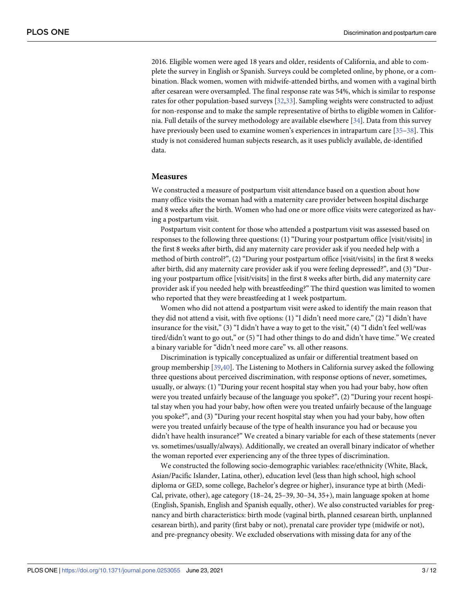<span id="page-3-0"></span>2016. Eligible women were aged 18 years and older, residents of California, and able to complete the survey in English or Spanish. Surveys could be completed online, by phone, or a combination. Black women, women with midwife-attended births, and women with a vaginal birth after cesarean were oversampled. The final response rate was 54%, which is similar to response rates for other population-based surveys [\[32,33\]](#page-11-0). Sampling weights were constructed to adjust for non-response and to make the sample representative of births to eligible women in California. Full details of the survey methodology are available elsewhere [\[34\]](#page-11-0). Data from this survey have previously been used to examine women's experiences in intrapartum care [\[35–](#page-11-0)[38](#page-12-0)]. This study is not considered human subjects research, as it uses publicly available, de-identified data.

#### **Measures**

We constructed a measure of postpartum visit attendance based on a question about how many office visits the woman had with a maternity care provider between hospital discharge and 8 weeks after the birth. Women who had one or more office visits were categorized as having a postpartum visit.

Postpartum visit content for those who attended a postpartum visit was assessed based on responses to the following three questions: (1) "During your postpartum office [visit/visits] in the first 8 weeks after birth, did any maternity care provider ask if you needed help with a method of birth control?", (2) "During your postpartum office [visit/visits] in the first 8 weeks after birth, did any maternity care provider ask if you were feeling depressed?", and (3) "During your postpartum office [visit/visits] in the first 8 weeks after birth, did any maternity care provider ask if you needed help with breastfeeding?" The third question was limited to women who reported that they were breastfeeding at 1 week postpartum.

Women who did not attend a postpartum visit were asked to identify the main reason that they did not attend a visit, with five options: (1) "I didn't need more care," (2) "I didn't have insurance for the visit," (3) "I didn't have a way to get to the visit," (4) "I didn't feel well/was tired/didn't want to go out," or (5) "I had other things to do and didn't have time." We created a binary variable for "didn't need more care" vs. all other reasons.

Discrimination is typically conceptualized as unfair or differential treatment based on group membership [\[39,40](#page-12-0)]. The Listening to Mothers in California survey asked the following three questions about perceived discrimination, with response options of never, sometimes, usually, or always: (1) "During your recent hospital stay when you had your baby, how often were you treated unfairly because of the language you spoke?", (2) "During your recent hospital stay when you had your baby, how often were you treated unfairly because of the language you spoke?", and (3) "During your recent hospital stay when you had your baby, how often were you treated unfairly because of the type of health insurance you had or because you didn't have health insurance?" We created a binary variable for each of these statements (never vs. sometimes/usually/always). Additionally, we created an overall binary indicator of whether the woman reported ever experiencing any of the three types of discrimination.

We constructed the following socio-demographic variables: race/ethnicity (White, Black, Asian/Pacific Islander, Latina, other), education level (less than high school, high school diploma or GED, some college, Bachelor's degree or higher), insurance type at birth (Medi-Cal, private, other), age category (18–24, 25–39, 30–34, 35+), main language spoken at home (English, Spanish, English and Spanish equally, other). We also constructed variables for pregnancy and birth characteristics: birth mode (vaginal birth, planned cesarean birth, unplanned cesarean birth), and parity (first baby or not), prenatal care provider type (midwife or not), and pre-pregnancy obesity. We excluded observations with missing data for any of the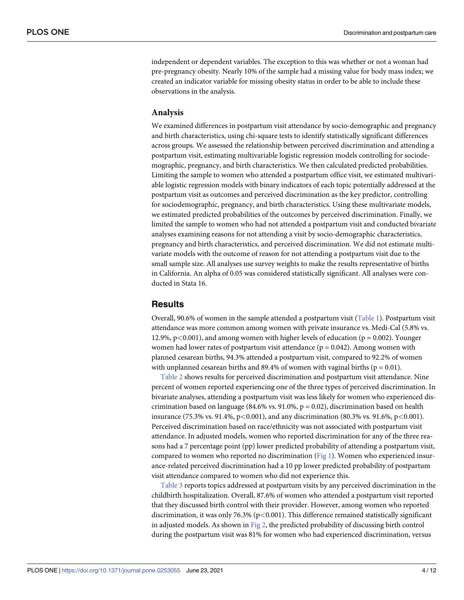<span id="page-4-0"></span>independent or dependent variables. The exception to this was whether or not a woman had pre-pregnancy obesity. Nearly 10% of the sample had a missing value for body mass index; we created an indicator variable for missing obesity status in order to be able to include these observations in the analysis.

#### **Analysis**

We examined differences in postpartum visit attendance by socio-demographic and pregnancy and birth characteristics, using chi-square tests to identify statistically significant differences across groups. We assessed the relationship between perceived discrimination and attending a postpartum visit, estimating multivariable logistic regression models controlling for sociodemographic, pregnancy, and birth characteristics. We then calculated predicted probabilities. Limiting the sample to women who attended a postpartum office visit, we estimated multivariable logistic regression models with binary indicators of each topic potentially addressed at the postpartum visit as outcomes and perceived discrimination as the key predictor, controlling for sociodemographic, pregnancy, and birth characteristics. Using these multivariate models, we estimated predicted probabilities of the outcomes by perceived discrimination. Finally, we limited the sample to women who had not attended a postpartum visit and conducted bivariate analyses examining reasons for not attending a visit by socio-demographic characteristics, pregnancy and birth characteristics, and perceived discrimination. We did not estimate multivariate models with the outcome of reason for not attending a postpartum visit due to the small sample size. All analyses use survey weights to make the results representative of births in California. An alpha of 0.05 was considered statistically significant. All analyses were conducted in Stata 16.

#### **Results**

Overall, 90.6% of women in the sample attended a postpartum visit ([Table](#page-5-0) 1). Postpartum visit attendance was more common among women with private insurance vs. Medi-Cal (5.8% vs. 12.9%, p*<*0.001), and among women with higher levels of education (p = 0.002). Younger women had lower rates of postpartum visit attendance ( $p = 0.042$ ). Among women with planned cesarean births, 94.3% attended a postpartum visit, compared to 92.2% of women with unplanned cesarean births and 89.4% of women with vaginal births ( $p = 0.01$ ).

[Table](#page-6-0) 2 shows results for perceived discrimination and postpartum visit attendance. Nine percent of women reported experiencing one of the three types of perceived discrimination. In bivariate analyses, attending a postpartum visit was less likely for women who experienced discrimination based on language (84.6% vs. 91.0%,  $p = 0.02$ ), discrimination based on health insurance (75.3% vs. 91.4%, p*<*0.001), and any discrimination (80.3% vs. 91.6%, p*<*0.001). Perceived discrimination based on race/ethnicity was not associated with postpartum visit attendance. In adjusted models, women who reported discrimination for any of the three reasons had a 7 percentage point (pp) lower predicted probability of attending a postpartum visit, compared to women who reported no discrimination [\(Fig](#page-7-0) 1). Women who experienced insurance-related perceived discrimination had a 10 pp lower predicted probability of postpartum visit attendance compared to women who did not experience this.

[Table](#page-7-0) 3 reports topics addressed at postpartum visits by any perceived discrimination in the childbirth hospitalization. Overall, 87.6% of women who attended a postpartum visit reported that they discussed birth control with their provider. However, among women who reported discrimination, it was only 76.3% (p*<*0.001). This difference remained statistically significant in adjusted models. As shown in [Fig](#page-8-0) 2, the predicted probability of discussing birth control during the postpartum visit was 81% for women who had experienced discrimination, versus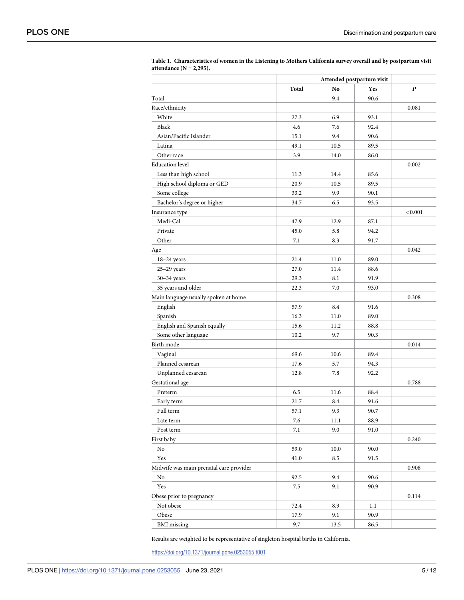|                                         |       |      | Attended postpartum visit |                          |  |
|-----------------------------------------|-------|------|---------------------------|--------------------------|--|
|                                         | Total | No   | Yes                       | P                        |  |
| Total                                   |       | 9.4  | 90.6                      | $\overline{\phantom{0}}$ |  |
| Race/ethnicity                          |       |      |                           | 0.081                    |  |
| White                                   | 27.3  | 6.9  | 93.1                      |                          |  |
| Black                                   | 4.6   | 7.6  | 92.4                      |                          |  |
| Asian/Pacific Islander                  | 15.1  | 9.4  | 90.6                      |                          |  |
| Latina                                  | 49.1  | 10.5 | 89.5                      |                          |  |
| Other race                              | 3.9   | 14.0 | 86.0                      |                          |  |
| <b>Education</b> level                  |       |      |                           | 0.002                    |  |
| Less than high school                   | 11.3  | 14.4 | 85.6                      |                          |  |
| High school diploma or GED              | 20.9  | 10.5 | 89.5                      |                          |  |
| Some college                            | 33.2  | 9.9  | 90.1                      |                          |  |
| Bachelor's degree or higher             | 34.7  | 6.5  | 93.5                      |                          |  |
| Insurance type                          |       |      |                           | < 0.001                  |  |
| Medi-Cal                                | 47.9  | 12.9 | 87.1                      |                          |  |
| Private                                 | 45.0  | 5.8  | 94.2                      |                          |  |
| Other                                   | 7.1   | 8.3  | 91.7                      |                          |  |
| Age                                     |       |      |                           | 0.042                    |  |
| 18-24 years                             | 21.4  | 11.0 | 89.0                      |                          |  |
| $25-29$ years                           | 27.0  | 11.4 | 88.6                      |                          |  |
| $30-34$ years                           | 29.3  | 8.1  | 91.9                      |                          |  |
| 35 years and older                      | 22.3  | 7.0  | 93.0                      |                          |  |
| Main language usually spoken at home    |       |      |                           | 0.308                    |  |
| English                                 | 57.9  | 8.4  | 91.6                      |                          |  |
| Spanish                                 | 16.3  | 11.0 | 89.0                      |                          |  |
| English and Spanish equally             | 15.6  | 11.2 | 88.8                      |                          |  |
| Some other language                     | 10.2  | 9.7  | 90.3                      |                          |  |
| Birth mode                              |       |      |                           | 0.014                    |  |
| Vaginal                                 | 69.6  | 10.6 | 89.4                      |                          |  |
| Planned cesarean                        | 17.6  | 5.7  | 94.3                      |                          |  |
| Unplanned cesarean                      | 12.8  | 7.8  | 92.2                      |                          |  |
| Gestational age                         |       |      |                           | 0.788                    |  |
| Preterm                                 | 6.5   | 11.6 | 88.4                      |                          |  |
| Early term                              | 21.7  | 8.4  | 91.6                      |                          |  |
| Full term                               | 57.1  | 9.3  | 90.7                      |                          |  |
| Late term                               | 7.6   | 11.1 | 88.9                      |                          |  |
| Post term                               | 7.1   | 9.0  | 91.0                      |                          |  |
| First baby                              |       |      |                           | 0.240                    |  |
| No                                      | 59.0  | 10.0 | 90.0                      |                          |  |
| Yes                                     | 41.0  | 8.5  | 91.5                      |                          |  |
| Midwife was main prenatal care provider |       |      |                           | 0.908                    |  |
| No                                      | 92.5  | 9.4  | 90.6                      |                          |  |
| Yes                                     | 7.5   | 9.1  | 90.9                      |                          |  |
| Obese prior to pregnancy                |       |      |                           | 0.114                    |  |
| Not obese                               | 72.4  | 8.9  | 1.1                       |                          |  |
| Obese                                   | 17.9  | 9.1  | 90.9                      |                          |  |
| <b>BMI</b> missing                      | 9.7   | 13.5 | 86.5                      |                          |  |
|                                         |       |      |                           |                          |  |

<span id="page-5-0"></span>

| Table 1. Characteristics of women in the Listening to Mothers California survey overall and by postpartum visit |  |
|-----------------------------------------------------------------------------------------------------------------|--|
| attendance $(N = 2,295)$ .                                                                                      |  |

Results are weighted to be representative of singleton hospital births in California.

<https://doi.org/10.1371/journal.pone.0253055.t001>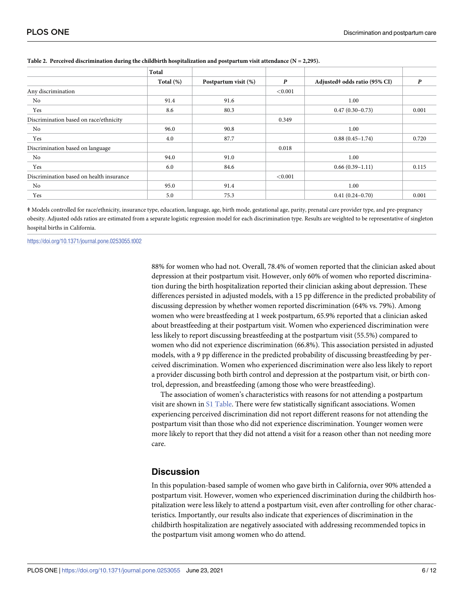|                                          | Total        |                      |         |                               |                  |
|------------------------------------------|--------------|----------------------|---------|-------------------------------|------------------|
|                                          | Total $(\%)$ | Postpartum visit (%) | P       | Adjusted# odds ratio (95% CI) | $\boldsymbol{P}$ |
| Any discrimination                       |              |                      | < 0.001 |                               |                  |
| No                                       | 91.4         | 91.6                 |         | 1.00                          |                  |
| Yes                                      | 8.6          | 80.3                 |         | $0.47(0.30-0.73)$             | 0.001            |
| Discrimination based on race/ethnicity   |              |                      | 0.349   |                               |                  |
| No                                       | 96.0         | 90.8                 |         | 1.00                          |                  |
| Yes                                      | 4.0          | 87.7                 |         | $0.88(0.45 - 1.74)$           | 0.720            |
| Discrimination based on language         |              |                      | 0.018   |                               |                  |
| No                                       | 94.0         | 91.0                 |         | 1.00                          |                  |
| Yes                                      | 6.0          | 84.6                 |         | $0.66(0.39-1.11)$             | 0.115            |
| Discrimination based on health insurance |              |                      | < 0.001 |                               |                  |
| No                                       | 95.0         | 91.4                 |         | 1.00                          |                  |
| Yes                                      | 5.0          | 75.3                 |         | $0.41(0.24 - 0.70)$           | 0.001            |

#### <span id="page-6-0"></span>**[Table](#page-4-0) 2. Perceived discrimination during the childbirth hospitalization and postpartum visit attendance (N = 2,295).**

ǂ Models controlled for race/ethnicity, insurance type, education, language, age, birth mode, gestational age, parity, prenatal care provider type, and pre-pregnancy obesity. Adjusted odds ratios are estimated from a separate logistic regression model for each discrimination type. Results are weighted to be representative of singleton hospital births in California.

<https://doi.org/10.1371/journal.pone.0253055.t002>

88% for women who had not. Overall, 78.4% of women reported that the clinician asked about depression at their postpartum visit. However, only 60% of women who reported discrimination during the birth hospitalization reported their clinician asking about depression. These differences persisted in adjusted models, with a 15 pp difference in the predicted probability of discussing depression by whether women reported discrimination (64% vs. 79%). Among women who were breastfeeding at 1 week postpartum, 65.9% reported that a clinician asked about breastfeeding at their postpartum visit. Women who experienced discrimination were less likely to report discussing breastfeeding at the postpartum visit (55.5%) compared to women who did not experience discrimination (66.8%). This association persisted in adjusted models, with a 9 pp difference in the predicted probability of discussing breastfeeding by perceived discrimination. Women who experienced discrimination were also less likely to report a provider discussing both birth control and depression at the postpartum visit, or birth control, depression, and breastfeeding (among those who were breastfeeding).

The association of women's characteristics with reasons for not attending a postpartum visit are shown in S1 [Table.](#page-9-0) There were few statistically significant associations. Women experiencing perceived discrimination did not report different reasons for not attending the postpartum visit than those who did not experience discrimination. Younger women were more likely to report that they did not attend a visit for a reason other than not needing more care.

#### **Discussion**

In this population-based sample of women who gave birth in California, over 90% attended a postpartum visit. However, women who experienced discrimination during the childbirth hospitalization were less likely to attend a postpartum visit, even after controlling for other characteristics. Importantly, our results also indicate that experiences of discrimination in the childbirth hospitalization are negatively associated with addressing recommended topics in the postpartum visit among women who do attend.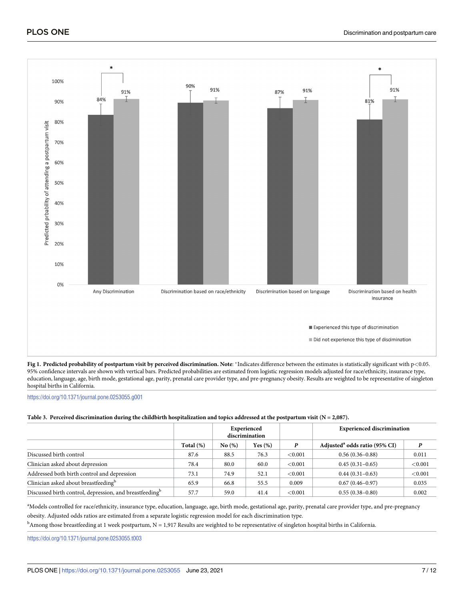<span id="page-7-0"></span>

[Fig](#page-4-0) 1. Predicted probability of postpartum visit by perceived discrimination. Note: \*Indicates difference between the estimates is statistically significant with p<0.05. 95% confidence intervals are shown with vertical bars. Predicted probabilities are estimated from logistic regression models adjusted for race/ethnicity, insurance type, education, language, age, birth mode, gestational age, parity, prenatal care provider type, and pre-pregnancy obesity. Results are weighted to be representative of singleton hospital births in California.

<https://doi.org/10.1371/journal.pone.0253055.g001>

#### [Table](#page-4-0) 3. Perceived discrimination during the childbirth hospitalization and topics addressed at the postpartum visit ( $N = 2,087$ ).

|                                                                     |           | Experienced<br>discrimination |            |            | <b>Experienced discrimination</b>         |         |
|---------------------------------------------------------------------|-----------|-------------------------------|------------|------------|-------------------------------------------|---------|
|                                                                     | Total (%) | No(%)                         | Yes $(\%)$ |            | Adjusted <sup>a</sup> odds ratio (95% CI) | P       |
| Discussed birth control                                             | 87.6      | 88.5                          | 76.3       | ${<}0.001$ | $0.56(0.36 - 0.88)$                       | 0.011   |
| Clinician asked about depression                                    | 78.4      | 80.0                          | 60.0       | < 0.001    | $0.45(0.31-0.65)$                         | < 0.001 |
| Addressed both birth control and depression                         | 73.1      | 74.9                          | 52.1       | < 0.001    | $0.44(0.31-0.63)$                         | < 0.001 |
| Clinician asked about breastfeeding <sup>b</sup>                    | 65.9      | 66.8                          | 55.5       | 0.009      | $0.67(0.46 - 0.97)$                       | 0.035   |
| Discussed birth control, depression, and breastfeeding <sup>b</sup> | 57.7      | 59.0                          | 41.4       | < 0.001    | $0.55(0.38-0.80)$                         | 0.002   |

a Models controlled for race/ethnicity, insurance type, education, language, age, birth mode, gestational age, parity, prenatal care provider type, and pre-pregnancy obesity. Adjusted odds ratios are estimated from a separate logistic regression model for each discrimination type.

b<br>Among those breastfeeding at 1 week postpartum, N = 1,917 Results are weighted to be representative of singleton hospital births in California.

<https://doi.org/10.1371/journal.pone.0253055.t003>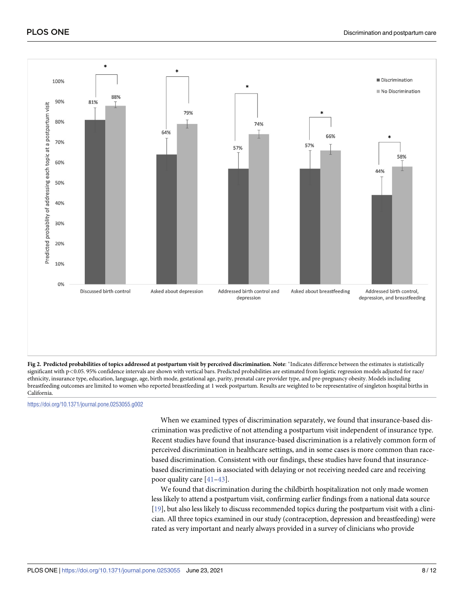<span id="page-8-0"></span>

[Fig](#page-4-0) 2. Predicted probabilities of topics addressed at postpartum visit by perceived discrimination. Note: \*Indicates difference between the estimates is statistically significant with p<0.05. 95% confidence intervals are shown with vertical bars. Predicted probabilities are estimated from logistic regression models adjusted for race/ ethnicity, insurance type, education, language, age, birth mode, gestational age, parity, prenatal care provider type, and pre-pregnancy obesity. Models including breastfeeding outcomes are limited to women who reported breastfeeding at 1 week postpartum. Results are weighted to be representative of singleton hospital births in California.

<https://doi.org/10.1371/journal.pone.0253055.g002>

When we examined types of discrimination separately, we found that insurance-based discrimination was predictive of not attending a postpartum visit independent of insurance type. Recent studies have found that insurance-based discrimination is a relatively common form of perceived discrimination in healthcare settings, and in some cases is more common than racebased discrimination. Consistent with our findings, these studies have found that insurancebased discrimination is associated with delaying or not receiving needed care and receiving poor quality care [[41](#page-12-0)–[43](#page-12-0)].

We found that discrimination during the childbirth hospitalization not only made women less likely to attend a postpartum visit, confirming earlier findings from a national data source [\[19\]](#page-11-0), but also less likely to discuss recommended topics during the postpartum visit with a clinician. All three topics examined in our study (contraception, depression and breastfeeding) were rated as very important and nearly always provided in a survey of clinicians who provide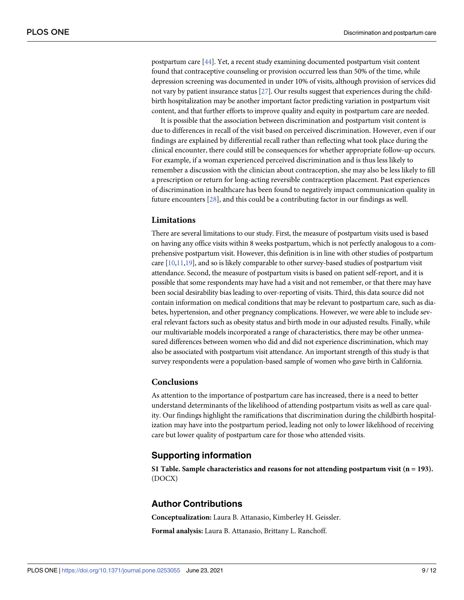<span id="page-9-0"></span>postpartum care [\[44](#page-12-0)]. Yet, a recent study examining documented postpartum visit content found that contraceptive counseling or provision occurred less than 50% of the time, while depression screening was documented in under 10% of visits, although provision of services did not vary by patient insurance status [[27](#page-11-0)]. Our results suggest that experiences during the childbirth hospitalization may be another important factor predicting variation in postpartum visit content, and that further efforts to improve quality and equity in postpartum care are needed.

It is possible that the association between discrimination and postpartum visit content is due to differences in recall of the visit based on perceived discrimination. However, even if our findings are explained by differential recall rather than reflecting what took place during the clinical encounter, there could still be consequences for whether appropriate follow-up occurs. For example, if a woman experienced perceived discrimination and is thus less likely to remember a discussion with the clinician about contraception, she may also be less likely to fill a prescription or return for long-acting reversible contraception placement. Past experiences of discrimination in healthcare has been found to negatively impact communication quality in future encounters [\[28\]](#page-11-0), and this could be a contributing factor in our findings as well.

### **Limitations**

There are several limitations to our study. First, the measure of postpartum visits used is based on having any office visits within 8 weeks postpartum, which is not perfectly analogous to a comprehensive postpartum visit. However, this definition is in line with other studies of postpartum care  $[10,11,19]$  $[10,11,19]$  $[10,11,19]$  $[10,11,19]$ , and so is likely comparable to other survey-based studies of postpartum visit attendance. Second, the measure of postpartum visits is based on patient self-report, and it is possible that some respondents may have had a visit and not remember, or that there may have been social desirability bias leading to over-reporting of visits. Third, this data source did not contain information on medical conditions that may be relevant to postpartum care, such as diabetes, hypertension, and other pregnancy complications. However, we were able to include several relevant factors such as obesity status and birth mode in our adjusted results. Finally, while our multivariable models incorporated a range of characteristics, there may be other unmeasured differences between women who did and did not experience discrimination, which may also be associated with postpartum visit attendance. An important strength of this study is that survey respondents were a population-based sample of women who gave birth in California.

#### **Conclusions**

As attention to the importance of postpartum care has increased, there is a need to better understand determinants of the likelihood of attending postpartum visits as well as care quality. Our findings highlight the ramifications that discrimination during the childbirth hospitalization may have into the postpartum period, leading not only to lower likelihood of receiving care but lower quality of postpartum care for those who attended visits.

#### **Supporting information**

**S1 [Table.](http://www.plosone.org/article/fetchSingleRepresentation.action?uri=info:doi/10.1371/journal.pone.0253055.s001) Sample characteristics and reasons for not attending postpartum visit (n = 193).** (DOCX)

#### **Author Contributions**

**Conceptualization:** Laura B. Attanasio, Kimberley H. Geissler.

**Formal analysis:** Laura B. Attanasio, Brittany L. Ranchoff.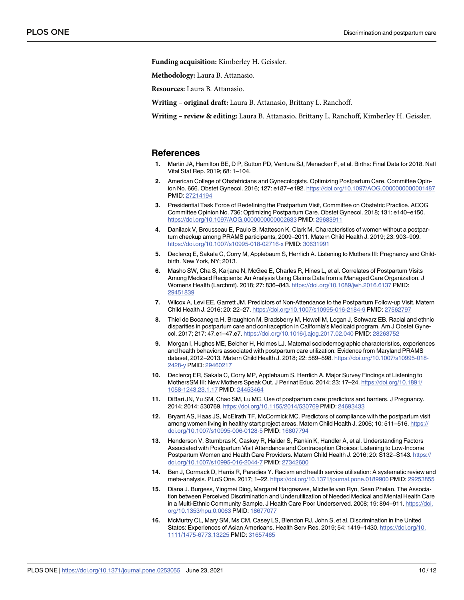<span id="page-10-0"></span>**Funding acquisition:** Kimberley H. Geissler.

**Methodology:** Laura B. Attanasio.

**Resources:** Laura B. Attanasio.

**Writing – original draft:** Laura B. Attanasio, Brittany L. Ranchoff.

**Writing – review & editing:** Laura B. Attanasio, Brittany L. Ranchoff, Kimberley H. Geissler.

#### **References**

- **[1](#page-2-0).** Martin JA, Hamilton BE, D P, Sutton PD, Ventura SJ, Menacker F, et al. Births: Final Data for 2018. Natl Vital Stat Rep. 2019; 68: 1–104.
- **[2](#page-2-0).** American College of Obstetricians and Gynecologists. Optimizing Postpartum Care. Committee Opinion No. 666. Obstet Gynecol. 2016; 127: e187–e192. <https://doi.org/10.1097/AOG.0000000000001487> PMID: [27214194](http://www.ncbi.nlm.nih.gov/pubmed/27214194)
- **[3](#page-2-0).** Presidential Task Force of Redefining the Postpartum Visit, Committee on Obstetric Practice. ACOG Committee Opinion No. 736: Optimizing Postpartum Care. Obstet Gynecol. 2018; 131: e140–e150. <https://doi.org/10.1097/AOG.0000000000002633> PMID: [29683911](http://www.ncbi.nlm.nih.gov/pubmed/29683911)
- **[4](#page-2-0).** Danilack V, Brousseau E, Paulo B, Matteson K, Clark M. Characteristics of women without a postpartum checkup among PRAMS participants, 2009–2011. Matern Child Health J. 2019; 23: 903–909. <https://doi.org/10.1007/s10995-018-02716-x> PMID: [30631991](http://www.ncbi.nlm.nih.gov/pubmed/30631991)
- **5.** Declercq E, Sakala C, Corry M, Applebaum S, Herrlich A. Listening to Mothers III: Pregnancy and Childbirth. New York, NY; 2013.
- **6.** Masho SW, Cha S, Karjane N, McGee E, Charles R, Hines L, et al. Correlates of Postpartum Visits Among Medicaid Recipients: An Analysis Using Claims Data from a Managed Care Organization. J Womens Health (Larchmt). 2018; 27: 836–843. <https://doi.org/10.1089/jwh.2016.6137> PMID: [29451839](http://www.ncbi.nlm.nih.gov/pubmed/29451839)
- **[7](#page-2-0).** Wilcox A, Levi EE, Garrett JM. Predictors of Non-Attendance to the Postpartum Follow-up Visit. Matern Child Health J. 2016; 20: 22–27. <https://doi.org/10.1007/s10995-016-2184-9> PMID: [27562797](http://www.ncbi.nlm.nih.gov/pubmed/27562797)
- **8.** Thiel de Bocanegra H, Braughton M, Bradsberry M, Howell M, Logan J, Schwarz EB. Racial and ethnic disparities in postpartum care and contraception in California's Medicaid program. Am J Obstet Gynecol. 2017; 217: 47.e1–47.e7. <https://doi.org/10.1016/j.ajog.2017.02.040> PMID: [28263752](http://www.ncbi.nlm.nih.gov/pubmed/28263752)
- **[9](#page-2-0).** Morgan I, Hughes ME, Belcher H, Holmes LJ. Maternal sociodemographic characteristics, experiences and health behaviors associated with postpartum care utilization: Evidence from Maryland PRAMS dataset, 2012–2013. Matern Child Health J. 2018; 22: 589–598. [https://doi.org/10.1007/s10995-018-](https://doi.org/10.1007/s10995-018-2428-y) [2428-y](https://doi.org/10.1007/s10995-018-2428-y) PMID: [29460217](http://www.ncbi.nlm.nih.gov/pubmed/29460217)
- **[10](#page-2-0).** Declercq ER, Sakala C, Corry MP, Applebaum S, Herrlich A. Major Survey Findings of Listening to MothersSM III: New Mothers Speak Out. J Perinat Educ. 2014; 23: 17–24. [https://doi.org/10.1891/](https://doi.org/10.1891/1058-1243.23.1.17) [1058-1243.23.1.17](https://doi.org/10.1891/1058-1243.23.1.17) PMID: [24453464](http://www.ncbi.nlm.nih.gov/pubmed/24453464)
- **[11](#page-9-0).** DiBari JN, Yu SM, Chao SM, Lu MC. Use of postpartum care: predictors and barriers. J Pregnancy. 2014; 2014: 530769. <https://doi.org/10.1155/2014/530769> PMID: [24693433](http://www.ncbi.nlm.nih.gov/pubmed/24693433)
- **12.** Bryant AS, Haas JS, McElrath TF, McCormick MC. Predictors of compliance with the postpartum visit among women living in healthy start project areas. Matern Child Health J. 2006; 10: 511–516. [https://](https://doi.org/10.1007/s10995-006-0128-5) [doi.org/10.1007/s10995-006-0128-5](https://doi.org/10.1007/s10995-006-0128-5) PMID: [16807794](http://www.ncbi.nlm.nih.gov/pubmed/16807794)
- **[13](#page-2-0).** Henderson V, Stumbras K, Caskey R, Haider S, Rankin K, Handler A, et al. Understanding Factors Associated with Postpartum Visit Attendance and Contraception Choices: Listening to Low-Income Postpartum Women and Health Care Providers. Matern Child Health J. 2016; 20: S132–S143. [https://](https://doi.org/10.1007/s10995-016-2044-7) [doi.org/10.1007/s10995-016-2044-7](https://doi.org/10.1007/s10995-016-2044-7) PMID: [27342600](http://www.ncbi.nlm.nih.gov/pubmed/27342600)
- **[14](#page-2-0).** Ben J, Cormack D, Harris R, Paradies Y. Racism and health service utilisation: A systematic review and meta-analysis. PLoS One. 2017; 1–22. <https://doi.org/10.1371/journal.pone.0189900> PMID: [29253855](http://www.ncbi.nlm.nih.gov/pubmed/29253855)
- **15.** Diana J. Burgess, Yingmei Ding, Margaret Hargreaves, Michelle van Ryn, Sean Phelan. The Association between Perceived Discrimination and Underutilization of Needed Medical and Mental Health Care in a Multi-Ethnic Community Sample. J Health Care Poor Underserved. 2008; 19: 894-911. [https://doi.](https://doi.org/10.1353/hpu.0.0063) [org/10.1353/hpu.0.0063](https://doi.org/10.1353/hpu.0.0063) PMID: [18677077](http://www.ncbi.nlm.nih.gov/pubmed/18677077)
- **16.** McMurtry CL, Mary SM, Ms CM, Casey LS, Blendon RJ, John S, et al. Discrimination in the United States: Experiences of Asian Americans. Health Serv Res. 2019; 54: 1419–1430. [https://doi.org/10.](https://doi.org/10.1111/1475-6773.13225) [1111/1475-6773.13225](https://doi.org/10.1111/1475-6773.13225) PMID: [31657465](http://www.ncbi.nlm.nih.gov/pubmed/31657465)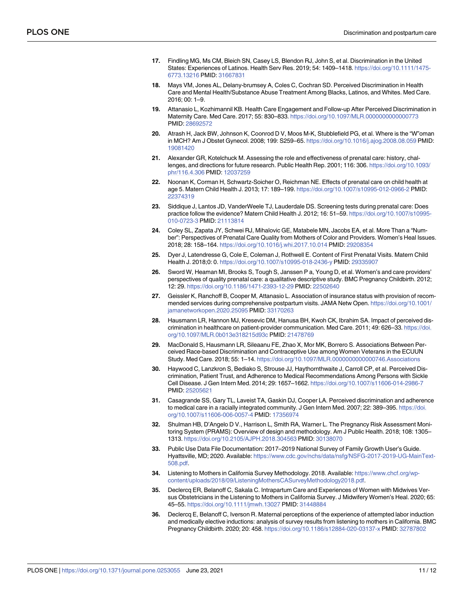- <span id="page-11-0"></span>**17.** Findling MG, Ms CM, Bleich SN, Casey LS, Blendon RJ, John S, et al. Discrimination in the United States: Experiences of Latinos. Health Serv Res. 2019; 54: 1409–1418. [https://doi.org/10.1111/1475-](https://doi.org/10.1111/1475-6773.13216) [6773.13216](https://doi.org/10.1111/1475-6773.13216) PMID: [31667831](http://www.ncbi.nlm.nih.gov/pubmed/31667831)
- **[18](#page-2-0).** Mays VM, Jones AL, Delany-brumsey A, Coles C, Cochran SD. Perceived Discrimination in Health Care and Mental Health/Substance Abuse Treatment Among Blacks, Latinos, and Whites. Med Care. 2016; 00: 1–9.
- **[19](#page-2-0).** Attanasio L, Kozhimannil KB. Health Care Engagement and Follow-up After Perceived Discrimination in Maternity Care. Med Care. 2017; 55: 830–833. <https://doi.org/10.1097/MLR.0000000000000773> PMID: [28692572](http://www.ncbi.nlm.nih.gov/pubmed/28692572)
- **[20](#page-2-0).** Atrash H, Jack BW, Johnson K, Coonrod D V, Moos M-K, Stubblefield PG, et al. Where is the "W"oman in MCH? Am J Obstet Gynecol. 2008; 199: S259–65. <https://doi.org/10.1016/j.ajog.2008.08.059> PMID: [19081420](http://www.ncbi.nlm.nih.gov/pubmed/19081420)
- **21.** Alexander GR, Kotelchuck M. Assessing the role and effectiveness of prenatal care: history, challenges, and directions for future research. Public Health Rep. 2001; 116: 306. [https://doi.org/10.1093/](https://doi.org/10.1093/phr/116.4.306) [phr/116.4.306](https://doi.org/10.1093/phr/116.4.306) PMID: [12037259](http://www.ncbi.nlm.nih.gov/pubmed/12037259)
- **22.** Noonan K, Corman H, Schwartz-Soicher O, Reichman NE. Effects of prenatal care on child health at age 5. Matern Child Health J. 2013; 17: 189–199. <https://doi.org/10.1007/s10995-012-0966-2> PMID: [22374319](http://www.ncbi.nlm.nih.gov/pubmed/22374319)
- **[23](#page-2-0).** Siddique J, Lantos JD, VanderWeele TJ, Lauderdale DS. Screening tests during prenatal care: Does practice follow the evidence? Matern Child Health J. 2012; 16: 51–59. [https://doi.org/10.1007/s10995-](https://doi.org/10.1007/s10995-010-0723-3) [010-0723-3](https://doi.org/10.1007/s10995-010-0723-3) PMID: [21113814](http://www.ncbi.nlm.nih.gov/pubmed/21113814)
- **[24](#page-2-0).** Coley SL, Zapata JY, Schwei RJ, Mihalovic GE, Matabele MN, Jacobs EA, et al. More Than a "Number": Perspectives of Prenatal Care Quality from Mothers of Color and Providers. Women's Heal Issues. 2018; 28: 158–164. <https://doi.org/10.1016/j.whi.2017.10.014> PMID: [29208354](http://www.ncbi.nlm.nih.gov/pubmed/29208354)
- **25.** Dyer J, Latendresse G, Cole E, Coleman J, Rothwell E. Content of First Prenatal Visits. Matern Child Health J. 2018;0: 0. <https://doi.org/10.1007/s10995-018-2436-y> PMID: [29335907](http://www.ncbi.nlm.nih.gov/pubmed/29335907)
- **[26](#page-2-0).** Sword W, Heaman MI, Brooks S, Tough S, Janssen P a, Young D, et al. Women's and care providers' perspectives of quality prenatal care: a qualitative descriptive study. BMC Pregnancy Childbirth. 2012; 12: 29. <https://doi.org/10.1186/1471-2393-12-29> PMID: [22502640](http://www.ncbi.nlm.nih.gov/pubmed/22502640)
- **[27](#page-2-0).** Geissler K, Ranchoff B, Cooper M, Attanasio L. Association of insurance status with provision of recommended services during comprehensive postpartum visits. JAMA Netw Open. [https://doi.org/10.1001/](https://doi.org/10.1001/jamanetworkopen.2020.25095) [jamanetworkopen.2020.25095](https://doi.org/10.1001/jamanetworkopen.2020.25095) PMID: [33170263](http://www.ncbi.nlm.nih.gov/pubmed/33170263)
- **[28](#page-2-0).** Hausmann LR, Hannon MJ, Kresevic DM, Hanusa BH, Kwoh CK, Ibrahim SA. Impact of perceived discrimination in healthcare on patient-provider communication. Med Care. 2011; 49: 626–33. [https://doi.](https://doi.org/10.1097/MLR.0b013e318215d93c) [org/10.1097/MLR.0b013e318215d93c](https://doi.org/10.1097/MLR.0b013e318215d93c) PMID: [21478769](http://www.ncbi.nlm.nih.gov/pubmed/21478769)
- **29.** MacDonald S, Hausmann LR, Sileaanu FE, Zhao X, Mor MK, Borrero S. Associations Between Perceived Race-based Discrimination and Contraceptive Use among Women Veterans in the ECUUN Study. Med Care. 2018; 55: 1–14. <https://doi.org/10.1097/MLR.0000000000000746.Associations>
- **30.** Haywood C, Lanzkron S, Bediako S, Strouse JJ, Haythornthwaite J, Carroll CP, et al. Perceived Discrimination, Patient Trust, and Adherence to Medical Recommendations Among Persons with Sickle Cell Disease. J Gen Intern Med. 2014; 29: 1657–1662. <https://doi.org/10.1007/s11606-014-2986-7> PMID: [25205621](http://www.ncbi.nlm.nih.gov/pubmed/25205621)
- **[31](#page-2-0).** Casagrande SS, Gary TL, Laveist TA, Gaskin DJ, Cooper LA. Perceived discrimination and adherence to medical care in a racially integrated community. J Gen Intern Med. 2007; 22: 389-395. [https://doi.](https://doi.org/10.1007/s11606-006-0057-4) [org/10.1007/s11606-006-0057-4](https://doi.org/10.1007/s11606-006-0057-4) PMID: [17356974](http://www.ncbi.nlm.nih.gov/pubmed/17356974)
- **[32](#page-3-0).** Shulman HB, D'Angelo D V., Harrison L, Smith RA, Warner L. The Pregnancy Risk Assessment Monitoring System (PRAMS): Overview of design and methodology. Am J Public Health. 2018; 108: 1305– 1313. <https://doi.org/10.2105/AJPH.2018.304563> PMID: [30138070](http://www.ncbi.nlm.nih.gov/pubmed/30138070)
- **[33](#page-3-0).** Public Use Data File Documentation: 2017–2019 National Survey of Family Growth User's Guide. Hyattsville, MD; 2020. Available: [https://www.cdc.gov/nchs/data/nsfg/NSFG-2017-2019-UG-MainText-](https://www.cdc.gov/nchs/data/nsfg/NSFG-2017-2019-UG-MainText-508.pdf)[508.pdf.](https://www.cdc.gov/nchs/data/nsfg/NSFG-2017-2019-UG-MainText-508.pdf)
- **[34](#page-3-0).** Listening to Mothers in California Survey Methodology. 2018. Available: [https://www.chcf.org/wp](https://www.chcf.org/wp-content/uploads/2018/09/ListeningMothersCASurveyMethodology2018.pdf)[content/uploads/2018/09/ListeningMothersCASurveyMethodology2018.pdf.](https://www.chcf.org/wp-content/uploads/2018/09/ListeningMothersCASurveyMethodology2018.pdf)
- **[35](#page-3-0).** Declercq ER, Belanoff C, Sakala C. Intrapartum Care and Experiences of Women with Midwives Versus Obstetricians in the Listening to Mothers in California Survey. J Midwifery Women's Heal. 2020; 65: 45–55. <https://doi.org/10.1111/jmwh.13027> PMID: [31448884](http://www.ncbi.nlm.nih.gov/pubmed/31448884)
- **36.** Declercq E, Belanoff C, Iverson R. Maternal perceptions of the experience of attempted labor induction and medically elective inductions: analysis of survey results from listening to mothers in California. BMC Pregnancy Childbirth. 2020; 20: 458. <https://doi.org/10.1186/s12884-020-03137-x> PMID: [32787802](http://www.ncbi.nlm.nih.gov/pubmed/32787802)